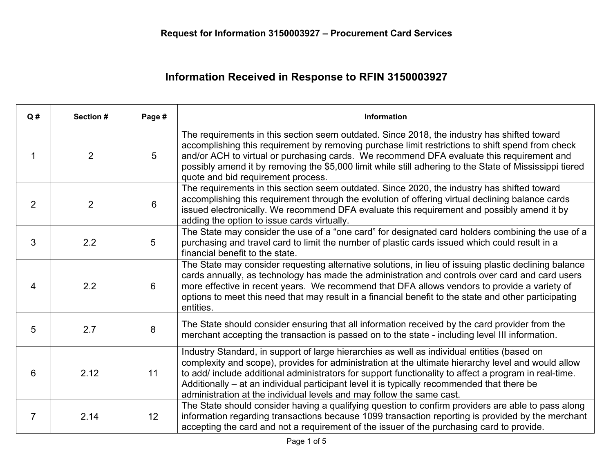## **Information Received in Response to RFIN 3150003927**

| Q#             | Section #      | Page #          | Information                                                                                                                                                                                                                                                                                                                                                                                                                                                                        |
|----------------|----------------|-----------------|------------------------------------------------------------------------------------------------------------------------------------------------------------------------------------------------------------------------------------------------------------------------------------------------------------------------------------------------------------------------------------------------------------------------------------------------------------------------------------|
| 1              | 2              | 5               | The requirements in this section seem outdated. Since 2018, the industry has shifted toward<br>accomplishing this requirement by removing purchase limit restrictions to shift spend from check<br>and/or ACH to virtual or purchasing cards. We recommend DFA evaluate this requirement and<br>possibly amend it by removing the \$5,000 limit while still adhering to the State of Mississippi tiered<br>quote and bid requirement process.                                      |
| $\overline{2}$ | $\overline{2}$ | 6               | The requirements in this section seem outdated. Since 2020, the industry has shifted toward<br>accomplishing this requirement through the evolution of offering virtual declining balance cards<br>issued electronically. We recommend DFA evaluate this requirement and possibly amend it by<br>adding the option to issue cards virtually.                                                                                                                                       |
| 3              | 2.2            | $5\overline{)}$ | The State may consider the use of a "one card" for designated card holders combining the use of a<br>purchasing and travel card to limit the number of plastic cards issued which could result in a<br>financial benefit to the state.                                                                                                                                                                                                                                             |
| 4              | 2.2            | $6^{\circ}$     | The State may consider requesting alternative solutions, in lieu of issuing plastic declining balance<br>cards annually, as technology has made the administration and controls over card and card users<br>more effective in recent years. We recommend that DFA allows vendors to provide a variety of<br>options to meet this need that may result in a financial benefit to the state and other participating<br>entities.                                                     |
| 5              | 2.7            | 8               | The State should consider ensuring that all information received by the card provider from the<br>merchant accepting the transaction is passed on to the state - including level III information.                                                                                                                                                                                                                                                                                  |
| 6              | 2.12           | 11              | Industry Standard, in support of large hierarchies as well as individual entities (based on<br>complexity and scope), provides for administration at the ultimate hierarchy level and would allow<br>to add/ include additional administrators for support functionality to affect a program in real-time.<br>Additionally – at an individual participant level it is typically recommended that there be<br>administration at the individual levels and may follow the same cast. |
| $\overline{7}$ | 2.14           | 12              | The State should consider having a qualifying question to confirm providers are able to pass along<br>information regarding transactions because 1099 transaction reporting is provided by the merchant<br>accepting the card and not a requirement of the issuer of the purchasing card to provide.                                                                                                                                                                               |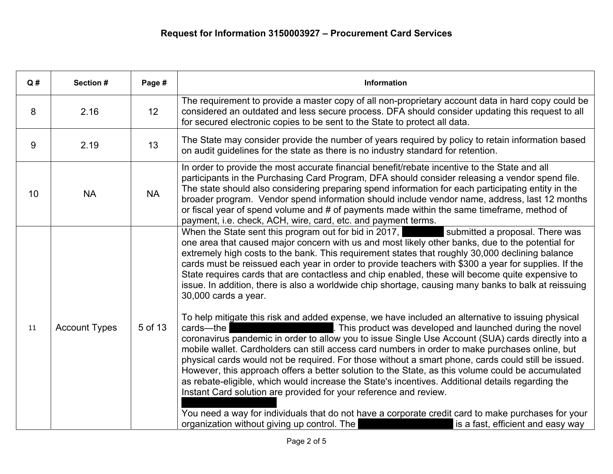| Q# | Section #            | Page #    | Information                                                                                                                                                                                                                                                                                                                                                                                                                                                                                                                                                                                                                                                                                                                                                                 |
|----|----------------------|-----------|-----------------------------------------------------------------------------------------------------------------------------------------------------------------------------------------------------------------------------------------------------------------------------------------------------------------------------------------------------------------------------------------------------------------------------------------------------------------------------------------------------------------------------------------------------------------------------------------------------------------------------------------------------------------------------------------------------------------------------------------------------------------------------|
| 8  | 2.16                 | 12        | The requirement to provide a master copy of all non-proprietary account data in hard copy could be<br>considered an outdated and less secure process. DFA should consider updating this request to all<br>for secured electronic copies to be sent to the State to protect all data.                                                                                                                                                                                                                                                                                                                                                                                                                                                                                        |
| 9  | 2.19                 | 13        | The State may consider provide the number of years required by policy to retain information based<br>on audit guidelines for the state as there is no industry standard for retention.                                                                                                                                                                                                                                                                                                                                                                                                                                                                                                                                                                                      |
| 10 | <b>NA</b>            | <b>NA</b> | In order to provide the most accurate financial benefit/rebate incentive to the State and all<br>participants in the Purchasing Card Program, DFA should consider releasing a vendor spend file.<br>The state should also considering preparing spend information for each participating entity in the<br>broader program. Vendor spend information should include vendor name, address, last 12 months<br>or fiscal year of spend volume and # of payments made within the same timeframe, method of<br>payment, i.e. check, ACH, wire, card, etc. and payment terms.                                                                                                                                                                                                      |
|    |                      |           | submitted a proposal. There was<br>When the State sent this program out for bid in 2017,<br>one area that caused major concern with us and most likely other banks, due to the potential for<br>extremely high costs to the bank. This requirement states that roughly 30,000 declining balance<br>cards must be reissued each year in order to provide teachers with \$300 a year for supplies. If the<br>State requires cards that are contactless and chip enabled, these will become quite expensive to<br>issue. In addition, there is also a worldwide chip shortage, causing many banks to balk at reissuing<br>30,000 cards a year.                                                                                                                                 |
| 11 | <b>Account Types</b> | 5 of 13   | To help mitigate this risk and added expense, we have included an alternative to issuing physical<br>. This product was developed and launched during the novel<br>cards-the<br>coronavirus pandemic in order to allow you to issue Single Use Account (SUA) cards directly into a<br>mobile wallet. Cardholders can still access card numbers in order to make purchases online, but<br>physical cards would not be required. For those without a smart phone, cards could still be issued.<br>However, this approach offers a better solution to the State, as this volume could be accumulated<br>as rebate-eligible, which would increase the State's incentives. Additional details regarding the<br>Instant Card solution are provided for your reference and review. |
|    |                      |           | You need a way for individuals that do not have a corporate credit card to make purchases for your<br>organization without giving up control. The<br>is a fast, efficient and easy way                                                                                                                                                                                                                                                                                                                                                                                                                                                                                                                                                                                      |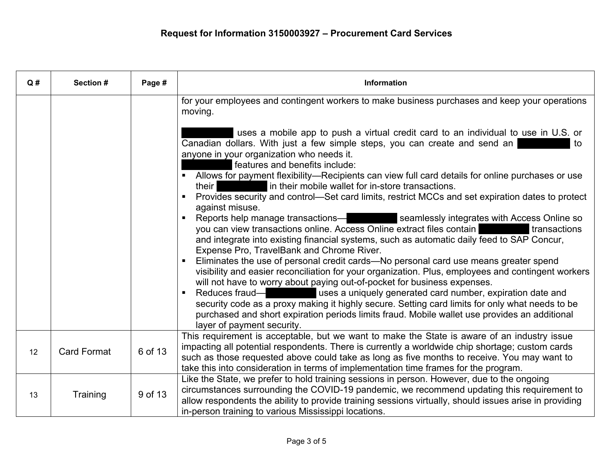| Q# | Section #          | Page #  | Information                                                                                                                                                                                                                                                                                                                                                                                                                                                                                                                                                                                                                                                                                                                                                                                                                                                                                                                                                                                                                                                                                                                                                                                                                                                                                                                                                                                                                                                                                                                                                                                                                            |
|----|--------------------|---------|----------------------------------------------------------------------------------------------------------------------------------------------------------------------------------------------------------------------------------------------------------------------------------------------------------------------------------------------------------------------------------------------------------------------------------------------------------------------------------------------------------------------------------------------------------------------------------------------------------------------------------------------------------------------------------------------------------------------------------------------------------------------------------------------------------------------------------------------------------------------------------------------------------------------------------------------------------------------------------------------------------------------------------------------------------------------------------------------------------------------------------------------------------------------------------------------------------------------------------------------------------------------------------------------------------------------------------------------------------------------------------------------------------------------------------------------------------------------------------------------------------------------------------------------------------------------------------------------------------------------------------------|
|    |                    |         | for your employees and contingent workers to make business purchases and keep your operations<br>moving.<br>uses a mobile app to push a virtual credit card to an individual to use in U.S. or<br>Canadian dollars. With just a few simple steps, you can create and send an<br>to<br>anyone in your organization who needs it.<br>features and benefits include:<br>Allows for payment flexibility—Recipients can view full card details for online purchases or use<br>$\blacksquare$<br>in their mobile wallet for in-store transactions.<br>their I<br>Provides security and control—Set card limits, restrict MCCs and set expiration dates to protect<br>$\blacksquare$<br>against misuse.<br>Reports help manage transactions—<br>Seamlessly integrates with Access Online so<br>$\blacksquare$<br>you can view transactions online. Access Online extract files contain<br>transactions<br>and integrate into existing financial systems, such as automatic daily feed to SAP Concur,<br>Expense Pro, TravelBank and Chrome River.<br>Eliminates the use of personal credit cards-No personal card use means greater spend<br>visibility and easier reconciliation for your organization. Plus, employees and contingent workers<br>will not have to worry about paying out-of-pocket for business expenses.<br>Reduces fraud-<br>uses a uniquely generated card number, expiration date and<br>security code as a proxy making it highly secure. Setting card limits for only what needs to be<br>purchased and short expiration periods limits fraud. Mobile wallet use provides an additional<br>layer of payment security. |
| 12 | <b>Card Format</b> | 6 of 13 | This requirement is acceptable, but we want to make the State is aware of an industry issue<br>impacting all potential respondents. There is currently a worldwide chip shortage; custom cards<br>such as those requested above could take as long as five months to receive. You may want to<br>take this into consideration in terms of implementation time frames for the program.                                                                                                                                                                                                                                                                                                                                                                                                                                                                                                                                                                                                                                                                                                                                                                                                                                                                                                                                                                                                                                                                                                                                                                                                                                                  |
| 13 | Training           | 9 of 13 | Like the State, we prefer to hold training sessions in person. However, due to the ongoing<br>circumstances surrounding the COVID-19 pandemic, we recommend updating this requirement to<br>allow respondents the ability to provide training sessions virtually, should issues arise in providing<br>in-person training to various Mississippi locations.                                                                                                                                                                                                                                                                                                                                                                                                                                                                                                                                                                                                                                                                                                                                                                                                                                                                                                                                                                                                                                                                                                                                                                                                                                                                             |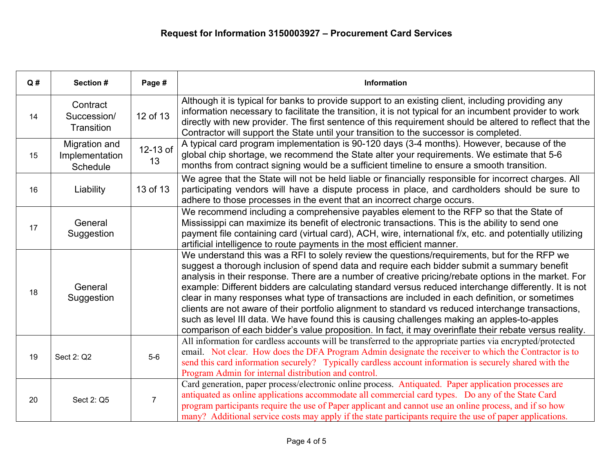| Q# | Section #                                   | Page #         | Information                                                                                                                                                                                                                                                                                                                                                                                                                                                                                                                                                                                                                                                                                                                                                                                                                      |
|----|---------------------------------------------|----------------|----------------------------------------------------------------------------------------------------------------------------------------------------------------------------------------------------------------------------------------------------------------------------------------------------------------------------------------------------------------------------------------------------------------------------------------------------------------------------------------------------------------------------------------------------------------------------------------------------------------------------------------------------------------------------------------------------------------------------------------------------------------------------------------------------------------------------------|
| 14 | Contract<br>Succession/<br>Transition       | 12 of 13       | Although it is typical for banks to provide support to an existing client, including providing any<br>information necessary to facilitate the transition, it is not typical for an incumbent provider to work<br>directly with new provider. The first sentence of this requirement should be altered to reflect that the<br>Contractor will support the State until your transition to the successor is completed.                                                                                                                                                                                                                                                                                                                                                                                                              |
| 15 | Migration and<br>Implementation<br>Schedule | 12-13 of<br>13 | A typical card program implementation is 90-120 days (3-4 months). However, because of the<br>global chip shortage, we recommend the State alter your requirements. We estimate that 5-6<br>months from contract signing would be a sufficient timeline to ensure a smooth transition.                                                                                                                                                                                                                                                                                                                                                                                                                                                                                                                                           |
| 16 | Liability                                   | 13 of 13       | We agree that the State will not be held liable or financially responsible for incorrect charges. All<br>participating vendors will have a dispute process in place, and cardholders should be sure to<br>adhere to those processes in the event that an incorrect charge occurs.                                                                                                                                                                                                                                                                                                                                                                                                                                                                                                                                                |
| 17 | General<br>Suggestion                       |                | We recommend including a comprehensive payables element to the RFP so that the State of<br>Mississippi can maximize its benefit of electronic transactions. This is the ability to send one<br>payment file containing card (virtual card), ACH, wire, international f/x, etc. and potentially utilizing<br>artificial intelligence to route payments in the most efficient manner.                                                                                                                                                                                                                                                                                                                                                                                                                                              |
| 18 | General<br>Suggestion                       |                | We understand this was a RFI to solely review the questions/requirements, but for the RFP we<br>suggest a thorough inclusion of spend data and require each bidder submit a summary benefit<br>analysis in their response. There are a number of creative pricing/rebate options in the market. For<br>example: Different bidders are calculating standard versus reduced interchange differently. It is not<br>clear in many responses what type of transactions are included in each definition, or sometimes<br>clients are not aware of their portfolio alignment to standard vs reduced interchange transactions,<br>such as level III data. We have found this is causing challenges making an apples-to-apples<br>comparison of each bidder's value proposition. In fact, it may overinflate their rebate versus reality. |
| 19 | Sect 2: Q2                                  | $5-6$          | All information for cardless accounts will be transferred to the appropriate parties via encrypted/protected<br>email. Not clear. How does the DFA Program Admin designate the receiver to which the Contractor is to<br>send this card information securely? Typically cardless account information is securely shared with the<br>Program Admin for internal distribution and control.                                                                                                                                                                                                                                                                                                                                                                                                                                         |
| 20 | Sect 2: Q5                                  | $\overline{7}$ | Card generation, paper process/electronic online process. Antiquated. Paper application processes are<br>antiquated as online applications accommodate all commercial card types. Do any of the State Card<br>program participants require the use of Paper applicant and cannot use an online process, and if so how<br>many? Additional service costs may apply if the state participants require the use of paper applications.                                                                                                                                                                                                                                                                                                                                                                                               |